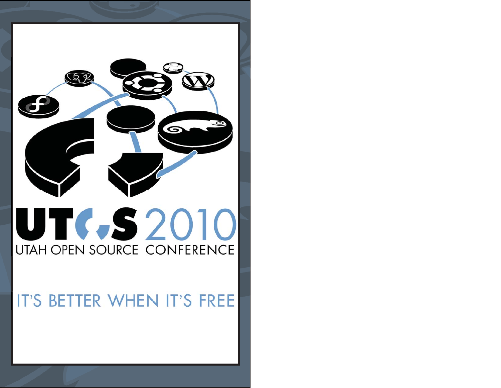

IT'S BETTER WHEN IT'S FREE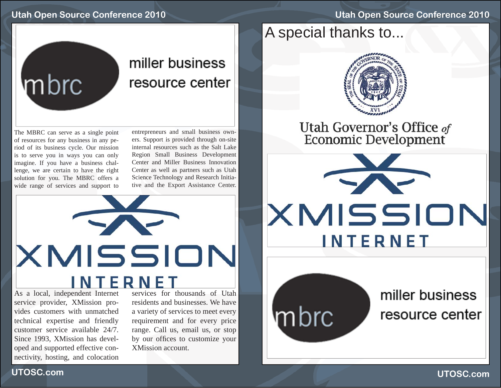# **Utah Open Source Conference 2010**

# mbrc

# miller business resource center

The MBRC can serve as a single point of resources for any business in any period of its business cycle. Our mission is to serve you in ways you can only imagine. If you have a business challenge, we are certain to have the right solution for you. The MBRC offers a wide range of services and support to entrepreneurs and small business owners. Support is provided through on-site internal resources such as the Salt Lake Region Small Business Development Center and Miller Business Innovation Center as well as partners such as Utah Science Technology and Research Initiative and the Export Assistance Center.



As a local, independent Internet service provider, XMission provides customers with unmatched technical expertise and friendly customer service available 24/7. Since 1993, XMission has developed and supported effective connectivity, hosting, and colocation

**UTOSC.com**

residents and businesses. We have a variety of services to meet every requirement and for every price range. Call us, email us, or stop by our offices to customize your XMission account.

# A special thanks to...



Utah Governor's Office of<br>Economic Development



mbrc

miller business resource center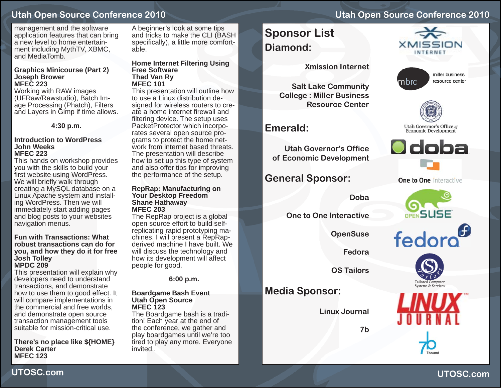management and the software application features that can bring a new level to home entertainment including MythTV, XBMC, and MediaTomb.

#### **Graphics Minicourse (Part 2) Joseph Brower MFEC 223**

 Working with RAW images (UFRaw/Rawstudio), Batch Image Processing (Phatch), Filters and Layers in Gimp if time allows.

**4:30 p.m.**

#### **Introduction to WordPressJohn WeeksMFEC 223**

This hands on workshop provides you with the skills to build your first website using WordPress. We will briefly walk through creating a MySQL database on a Linux Apache system and installing WordPress. Then we will immediately start adding pages and blog posts to your websites navigation menus.

#### **Fun with Transactions: What robust transactions can do for you, and how they do it for free Josh Tolley MPDC 209**

This presentation will explain why developers need to understand transactions, and demonstrate how to use them to good effect. It will compare implementations in the commercial and free worlds, and demonstrate open source transaction management tools suitable for mission-critical use.

#### **There's no place like \${HOME} Derek CarterMFEC 123**

A beginner's look at some tips and tricks to make the CLI (BASH speci fi cally), a little more comfortable.

#### **Home Internet Filtering Using Free SoftwareThad Van Ry MFEC 101**

This presentation will outline how to use a Linux distribution designed for wireless routers to create a home internet firewall and filtering device. The setup uses PacketProtector which incorporates several open source programs to protect the home network from internet based threats.The presentation will describe how to set up this type of system and also offer tips for improving the performance of the setup.

#### **RepRap: Manufacturing on Your Desktop Freedom Shane Hathaway MFEC 203**

The RepRap project is a global open source effort to build selfreplicating rapid prototyping machines. I will present a RepRapderived machine I have built. We will discuss the technology and how its development will affect people for good.

**6:00 p.m.**

#### **Boardgame Bash Event Utah Open Source MFEC 123**

The Boardgame bash is a tradition! Each year at the end of the conference, we gather and play boardgames until we're too tired to play any more. Everyone invited..

# **Utah Open Source Conference 2010**

# **Sponsor List Diamond:**

**Xmission Internet**

**Salt Lake Community College : Miller Business Resource Center**

# **Emerald:**

**Utah Governor's Office of Economic Development**

**General Sponsor:**

**Doba**

**One to One Interactive**

**OpenSuse**

**Fedora**

**OS Tailors**

**Media Sponsor:**

**Linux Journal**

**7b**







Utah Governor's Office of **Economic Development** 



**One to One interactive** 







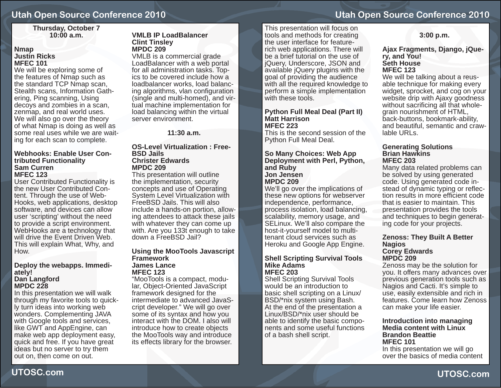#### **Thursday, October 7 10:00 a.m.**

#### **Nmap Justin RicksMFEC 101**

We will be exploring some of the features of Nmap such as the standard TCP Nmap scan, Stealth scans, Information Gathering, Ping scanning, Using decoys and zombies in a scan, zenmap, and real world uses. We will also go over the theory of what Nmap is doing as well as some real uses while we are waiting for each scan to complete.

#### **Webhooks: Enable User Contributed Functionality Sam CurrenMFEC 123**

User Contributed Functionality is the new User Contributed Content. Through the use of Web-Hooks, web applications, desktop software, and devices can allow user 'scripting' without the need to provide a script environment. WebHooks are a technology that will drive the Event Driven Web. This will explain What, Why, and How.

#### **Deploy the webapps. Immediately! Dan Langford MPDC 228**

In this presentation we will walk through my favorite tools to quickly turn ideas into working web wonders. Complementing JAVA with Google tools and services, like GWT and AppEngine, can make web app deployment easy, quick and free. If you have great ideas but no server to try them out on, then come on out.

#### **VMLB IP LoadBalancerClint Tinsley MPDC 209**

VMLB is a commercial grade LoadBalancer with a web portal for all administration tasks. Topics to be covered include how a loadbalancer works, load balancing algorithms, vlan configuration (single and multi-homed), and virtual machine implementation for load balancing within the virtual server environment.

**11:30 a.m.**

#### **OS-Level Virtualization : Free-BSD Jails Christer EdwardsMPDC 209**

This presentation will outline the implementation, security concepts and use of Operating System Level Virtualization with FreeBSD Jails. This will also include a hands-on portion, allowing attendees to attack these jails with whatever they can come up with. Are you 133t enough to take down a FreeBSD Jail?

#### **Using the MooTools Javascript FrameworkJames LanceMFEC 123**

"MooTools is a compact, modular, Object-Oriented JavaScript framework designed for the intermediate to advanced JavaScript developer." We will go over some of its syntax and how you interact with the DOM. I also will introduce how to create objects the MooTools way and introduce its effects library for the browser.

This presentation will focus on tools and methods for creating the user interface for featurerich web applications. There will be a brief tutorial on the use of jQuery, Underscore, JSON and available jQuery plugins with the goal of providing the audience with all the required knowledge to perform a simple implementation with these tools.

#### **Python Full Meal Deal (Part II) Matt HarrisonMFEC 223**

This is the second session of the Python Full Meal Deal.

#### **So Many Choices: Web App Deployment with Perl, Python, and Ruby Jon JensenMPDC 209**

We'll go over the implications of these new options for webserver independence, performance, process isolation, load balancing, scalability, memory usage, and SELinux. We'll also compare the host-it-yourself model to multitenant cloud services such as Heroku and Google App Engine.

#### **Shell Scripting Survival Tools Mike AdamsMFEC 203**

 Shell Scripting Survival Tools would be an introduction to basic shell scripting on a Linux/ BSD/\*nix system using Bash. At the end of the presentation a Linux/BSD/\*nix user should be able to identify the basic components and some useful functions of a bash shell script.

#### **3:00 p.m.**

**Ajax Fragments, Django, jQuery, and You! Seth HouseMFEC 123**

We will be talking about a reusable technique for making every widget, sprocket, and cog on your website drip with Ajaxy goodness without sacrificing all that wholegrain nourishment of HTML, back-buttons, bookmark-ability, and beautiful, semantic and crawlable URLs.

#### **Generating Solutions Brian HawkinsMFEC 203**

Many data related problems can be solved by using generated code. Using generated code instead of dynamic typing or reflection results in more efficient code that is easier to maintain. This presentation provides the tools and techniques to begin generating code for your projects.

#### **Zenoss: They Built A Better Nagios Corey Edwards MPDC 209**

Zenoss may be the solution for you. It offers many advances over previous generation tools such as Nagios and Cacti. It's simple to use, easily extensible and rich in features. Come learn how Zenoss can make your life easier.

#### **Introduction into managing Media content with LinuxBrandon BeattieMFEC 101**

 In this presentation we will go over the basics of media content

**UTOSC.com**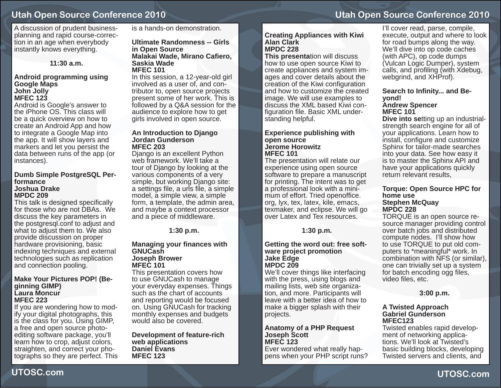A discussion of prudent businessplanning and rapid course-correction in an age when everybody instantly knows everything.

#### **11:30 a.m.**

#### **Android programming using Google Maps John Jolly MFEC 123**

 Android is Google's answer to the iPhone OS. This class will be a quick overview on how to create an Android App and how to integrate a Google Map into the app. It will show layers and markers and let you persist the data between runs of the app (or instances).

#### **Dumb Simple PostgreSQL Performance Joshua DrakeMPDC 209**

This talk is designed specifically for those who are not DBAs. We discuss the key parameters in the postgresql.conf to adjust and what to adjust them to. We also provide discussion on proper hardware provisioning, basic indexing techniques and external technologies such as replication and connection pooling.

#### **Make Your Pictures POP! (Beginning GIMP) Laura MoncurMFEC 223**

If you are wondering how to modify your digital photographs, this is the class for you. Using GIMP, a free and open source photoediting software package, you'll learn how to crop, adjust colors, straighten, and correct your photographs so they are perfect. This is a hands-on demonstration.

#### **Ultimate Randomness -- Girls in Open Source Malakai Wade, Mirano Ca fi ero, Saskia WadeMFEC 101**

In this session, a 12-year-old girl involved as a user of, and contributor to, open source projects present some of her work. This is followed by a Q&A session for the audience to explore how to get girls involved in open source.

#### **An Introduction to Django Jordan GundersonMFEC 203**

Django is an excellent Python web framework. We'll take a tour of Django by looking at the various components of a very simple, but working Django site: a settings file, a urls file, a simple model, a simple view, a simple form, a template, the admin area, and maybe a context processor and a piece of middleware.

**1:30 p.m.**

#### **Managing your fi nances with GNUCashJoseph Brower MFEC 101**

This presentation covers how to use GNUCash to manage your everyday expenses. Things such as the chart of accounts and reporting would be focused on. Using GNUCash for tracking monthly expenses and budgets would also be covered.

**Development of feature-rich web applications Daniel EvansMFEC 123**

# **Utah Open Source Conference 2010**

#### **Creating Appliances with Kiwi Alan ClarkMPDC 228**

**This presenta**tion will discuss how to use open source Kiwi to create appliances and system images and cover details about the creation of the Kiwi configuration and how to customize the created image. We will use examples to discuss the XML based Kiwi configuration file. Basic XML understanding helpful.

#### **Experience publishing with open source Jerome HorowitzMFEC 101**

The presentation will relate our experience using open source software to prepare a manuscript for printing. The intent was to get a professional look with a minimum of effort. Tried openoffice. org, lyx, tex, latex, kile, emacs, texmaker, and eclipse. We will go over Latex and Tex resources.

#### **1:30 p.m.**

#### **Getting the word out: free software project promotion Jake Edge MPDC 209**

 We'll cover things like interfacing with the press, using blogs and mailing lists, web site organization, and more. Participants will leave with a better idea of how to make a bigger splash with their projects.

#### **Anatomy of a PHP Request Joseph Scott MFEC 123**

Ever wondered what really happens when your PHP script runs?

I'll cover read, parse, compile, execute, output and where to look for road bumps along the way. We'll dive into op code caches (with APC), op code dumps (Vulcan Logic Dumper), system calls, and profiling (with Xdebug, webgrind, and XHProf).

## **Search to Infi nity... and Beyond!**

#### **Andrew Spencer MFEC 101**

**Dive into se**tting up an industrialstrength search engine for all of your applications. Learn how to install, configure and customize Sphinx for tailor-made searches into your data. See how easy it is to master the Sphinx API and have your applications quickly return relevant results,

#### **Torque: Open Source HPC for home useStephen McQuay MPDC 228**

TORQUE is an open source resource manager providing control over batch jobs and distributed compute nodes. I'll show how to use TORQUE to put old computers to \*meaningful\* work. In combination with NFS (or similar), one can trivially set up a system for batch encoding ogg files, video files, etc.

#### **3:00 p.m.**

#### **A Twisted Approach Gabriel GundersonMFEC123**

 Twisted enables rapid development of networking applications. We'll look at Twisted's basic building blocks, developing Twisted servers and clients, and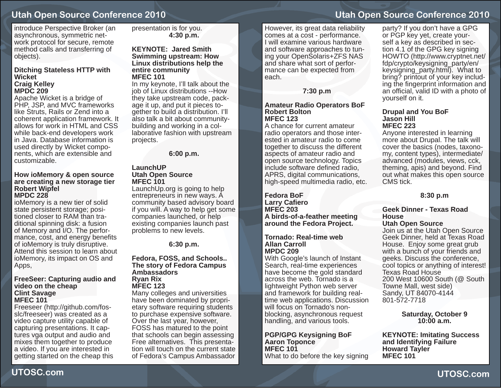introduce Perspective Broker (an asynchronous, symmetric network protocol for secure, remote method calls and transferring of objects).

#### **Ditching Stateless HTTP with WicketCraig Kelley MPDC 209**

Apache Wicket is a bridge of PHP, JSP, and MVC frameworks like Struts, Rails or Zend into a coherent application framework. It allows for work in HTML and CSS while back-end developers work in Java. Database information is used directly by Wicket components, which are extensible and customizable.

#### **How ioMemory & open source are creating a new storage tier Robert Wipfel MPDC 228**

ioMemory is a new tier of solid state persistent storage; positioned closer to RAM than traditional spinning disk: a fusion of Memory and I/O. The performance, cost, and energy benefits of ioMemory is truly disruptive. Attend this session to learn about ioMemory, its impact on OS and Apps,

#### **FreeSeer: Capturing audio and video on the cheap Clint Savage MFEC 101**

Freeseer (http://github.com/fosslc/freeseer) was created as a video capture utility capable of capturing presentations. It captures vga output and audio and mixes them together to produce a video. If you are interested in getting started on the cheap this presentation is for you. **4:30 p.m.**

#### **KEYNOTE: Jared SmithSwimming upstream: How Linux distributions help the entire community MFEC 101**

 In my keynote, I'll talk about the job of Linux distributions --How they take upstream code, package it up, and put it pieces together to build a distribution. I'll also talk a bit about communitybuilding and working in a collaborative fashion with upstream projects.

**6:00 p.m.**

#### **LaunchUPUtah Open Source MFEC 101**

LaunchUp.org is going to help entrepreneurs in new ways. A community based advisory board if you will. A way to help get some companies launched, or help existing companies launch past problems to new levels.

**6:30 p.m.**

#### **Fedora, FOSS, and Schools.. The story of Fedora Campus Ambassadors Ryan Rix MFEC 123**

Many colleges and universities have been dominated by proprietary software requiring students to purchase expensive software. Over the last year, however, FOSS has matured to the point that schools can begin assessing Free alternatives. This presentation will touch on the current state of Fedora's Campus Ambassador

# **Utah Open Source Conference 2010**

However, its great data reliability comes at a cost - performance. I will examine various hardware and software approaches to tuning your OpenSolaris+ZFS NAS and share what sort of performance can be expected from each.

**7:30 p.m**

#### **Amateur Radio Operators BoF Robert BoltonMFEC 123**

A chance for current amateur radio operators and those interested in amateur radio to come together to discuss the different aspects of amateur radio and open source technology. Topics include software defined radio, APRS, digital communications, high-speed multimedia radio, etc.

**Fedora BoF Larry Ca fi eroMFEC 203A birds-of-a-feather meeting around the Fedora Project.**

**Tornado: Real-time web Allan CarrollMPDC 209**

With Google's launch of Instant Search, real-time experiences have become the gold standard across the web. Tornado is a lightweight Python web server and framework for building realtime web applications. Discussion will focus on Tornado's nonblocking, asynchronous request handling, and various tools.

**PGP/GPG Keysigning BoF Aaron Toponce MFEC 101**What to do before the key signing

party? If you don't have a GPG or PGP key yet, create yourself a key as described in section 4.1 of the GPG key signing HOWTO (http://www.cryptnet.net/ fdp/crypto/keysigning\_party/en/ keysigning\_party.html). What to bring? printout of your key including the fi ngerprint information and an official, valid ID with a photo of yourself on it.

#### **Drupal and You BoF Jason HillMFEC 223**

Anyone interested in learning more about Drupal. The talk will cover the basics (nodes, taxonomy, content types), intermediate/ advanced (modules, views, cck, theming, apis) and beyond. Find out what makes this open source CMS tick.

**8:30 p.m**

## **Geek Dinner - Texas Road House**

**Utah Open Source** Join us at the Utah Open Source Geek Dinner, held at Texas Road House. Enjoy some great grub with a bunch of your friends and geeks. Discuss the conference, cool topics or anything of interest! Texas Road House 200 West 10600 South (@ South Towne Mall, west side) Sandy, UT 84070-4144 801-572-7718

> **Saturday, October 9 10:00 a.m.**

**KEYNOTE: Imitating Success and Identifying Failure Howard Tayler MFEC 101**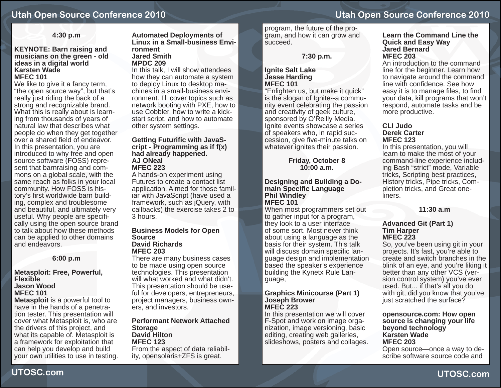#### **4:30 p.m**

#### **KEYNOTE: Barn raising and musicians on the green - old ideas in a digital world Karsten WadeMFEC 101**

We like to give it a fancy term, "the open source way", but that's really just riding the back of a strong and recognizable brand. What this is really about is learning from thousands of years of natural law that describes what people do when they get together over a shared field of endeavor. In this presentation, you are introduced to why free and open source software (FOSS) represent that barnraising and commons on a global scale, with the same reach as folks in your local community. How FOSS is history's first worldwide barn building, complex and troublesome and beautiful, and ultimately very useful. Why people are specifically using the open source brand to talk about how these methods can be applied to other domains and endeavors.

#### **6:00 p.m**

#### **Metasploit: Free, Powerful, Flexible Jason WoodMFEC 101**

**Metasploit** is a powerful tool to have in the hands of a penetration tester. This presentation will cover what Metasploit is, who are the drivers of this project, and what its capable of. Metasploit is a framework for exploitation that can help you develop and build your own utilities to use in testing.

#### **Automated Deployments of Linux in a Small-business Environment Jared SmithMPDC 209**

In this talk, I will show attendees how they can automate a system to deploy Linux to desktop machines in a small-business environment. I'll cover topics such as network booting with PXE, how to use Cobbler, how to write a kickstart script, and how to automate other system settings.

#### **Getting Futuri fi c with JavaScript - Programming as if f(x) had already happened. AJ ONealMFEC 223**

A hands-on experiment using Futures to create a contact list application. Aimed for those familiar with JavaScript (have used a framework, such as jQuery, with callbacks) the exercise takes 2 to 3 hours.

#### **Business Models for Open Source David RichardsMFEC 203**

There are many business cases to be made using open source technologies. This presentation will what worked and what didn't. This presentation should be useful for developers, entrepreneurs, project managers, business owners, and investors.

#### **Performant Network Attached Storage David HiltonMFEC 123**From the aspect of data reliabil-

ity, opensolaris+ZFS is great.

program, the future of the program, and how it can grow and succeed.

**7:30 p.m.**

#### **Ignite Salt Lake Jesse Harding MFEC 101**

"Enlighten us, but make it quick" is the slogan of Ignite--a community event celebrating the passion and creativity of geek culture, sponsored by O'Reilly Media. Ignite events showcase a series of speakers who, in rapid succession, give five-minute talks on whatever ignites their passion.

> **Friday, October 8 10:00 a.m.**

#### **Designing and Building a Domain Speci fi c Language Phil Windley MFEC 101**

When most programmers set out to gather input for a program, they look to a user interface of some sort. Most never think about using a language as the basis for their system. This talk will discuss domain specific language design and implementation based the speaker's experience building the Kynetx Rule Language,

#### **Graphics Minicourse (Part 1) Joseph Brower MFEC 223**

In this presentation we will cover F-Spot and work on image organization, image versioning, basic editing, creating web galleries, slideshows, posters and collages.

#### **Learn the Command Line the Quick and Easy Way Jared BernardMFEC 203**

An introduction to the command line for the beginner. Learn how to navigate around the command line with confidence. See how easy it is to manage files, to find your data, kill programs that won't respond, automate tasks and be more productive.

#### **CLI Judo Derek CarterMFEC 123**

In this presentation, you will learn to make the most of your command-line experience including Bash "strict" mode, Variable tricks, Scripting best practices, History tricks, Pipe tricks, Completion tricks, and Great oneliners.

#### **11:30 a.m**

#### **Advanced Git (Part 1) Tim Harper MFEC 223**

So, you've been using git in your projects. It's fast, you're able to create and switch branches in the blink of an eye, and you're liking it better than any other VCS (version control system) you've ever used. But... if that's all you do with git, did you know that you've just scratched the surface?

#### **opensource.com: How open source is changing your life beyond technology Karsten Wade MFEC 203**Open source—once a way to describe software source code and

**UTOSC.com**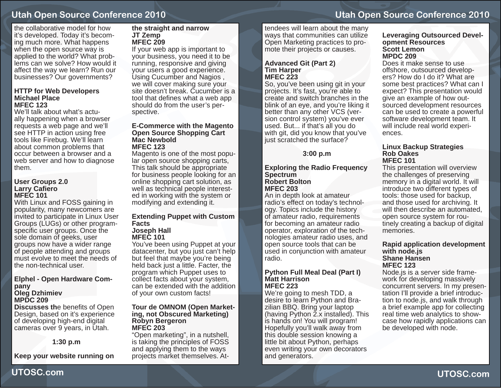the collaborative model for how it's developed. Today it's becoming much more. What happens when the open source way is applied to the world? What problems can we solve? How would it affect the way we learn? Run our businesses? Our governments?

#### **HTTP for Web Developers Michael PlaceMFEC 123**

We'll talk about what's actually happening when a browser requests a web page and we'll see HTTP in action using free tools like Firebug. We'll learn about common problems that occur between a browser and a web server and how to diagnose them.

#### **User Groups 2.0 Larry Ca fi ero MFEC 101**

With Linux and FOSS gaining in popularity, many newcomers are invited to participate in Linux User Groups (LUGs) or other programspecific user groups. Once the sole domain of geeks, user groups now have a wider range of people attending and groups must evolve to meet the needs of the non-technical user.

#### **Elphel - Open Hardware Company Oleg Dzhimiev**

# **MPDC 209**

**Discusses th**e benefits of Open Design, based on it's experience of developing high-end digital cameras over 9 years, in Utah.

#### **1:30 p.m**

**Keep your website running on** 

#### **the straight and narrow JT Zemp MFEC 209**

If your web app is important to your business, you need it to be running, responsive and giving your users a good experience. Using Cucumber and Nagios , we will cover making sure your site doesn't break. Cucumber is a tool that defines what a web app should do from the user's perspective.

#### **E-Commerce with the Magento Open Source Shopping Cart Mac NewboldMFEC 123**

Magento is one of the most popular open source shopping carts, This talk should be appropriate for business people looking for an online shopping cart solution, as well as technical people interested in working with the system or modifying and extending it.

#### **Extending Puppet with Custom Facts Joseph Hall**

## **MFEC 101**

You've been using Puppet at your datacenter, but you just can't help but feel that maybe you're being held back just a little. Facter, the program which Puppet uses to collect facts about your system, can be extended with the addition of your own custom facts!

#### **Tour de OMNOM (Open Marketing, not Obscured Marketing) Robyn Bergeron MFEC 203**

"Open marketing", in a nutshell, is taking the principles of FOSS and applying them to the ways projects market themselves. At**Utah Open Source Conference 2010**

tendees will learn about the many ways that communities can utilize Open Marketing practices to promote their projects or causes.

#### **Advanced Git (Part 2) Tim Harper MFEC 223**

So, you've been using git in your projects. It's fast, you're able to create and switch branches in the blink of an eye, and you're liking it better than any other VCS (version control system) you've ever used. But... if that's all you do with git, did you know that you've just scratched the surface?

#### **3:00 p.m**

#### **Exploring the Radio Frequency Spectrum Robert BoltonMFEC 203**

An in depth look at amateur radio's effect on today's technology. Topics include the history of amateur radio, requirements for becoming an amateur radio operator, exploration of the technologies amateur radio uses, and open source tools that can be used in conjunction with amateur radio.

#### **Python Full Meal Deal (Part I) Matt HarrisonMFEC 223**

We're going to mesh TDD, a desire to learn Python and Brazilian BBQ. Bring your laptop (having Python 2.x installed). This is hands on! You will program! Hopefully you'll walk away from this double session knowing a little bit about Python, perhaps even writing your own decorators and generators.

#### **Leveraging Outsourced Development Resources Scott LemonMPDC 209**

Does it make sense to use offshore, outsourced developers? How do I do it? What are some best practices? What can I expect? This presentation would give an example of how outsourced development resources can be used to create a powerful software development team. It will include real world experiences.

#### **Linux Backup Strategies Rob OakesMFEC 101**

This presentation will overview the challenges of preserving memory in a digital world. It will introduce two different types of tools: those used for backup, and those used for archiving. It will then describe an automated, open source system for routinely creating a backup of digital memories.

#### **Rapid application development with node.js Shane HansenMFEC 123**

Node.js is a server side framework for developing massively concurrent servers. In my presentation I'll provide a brief introduction to node.js, and walk through a brief example app for collecting real time web analytics to showcase how rapidly applications can be developed with node.